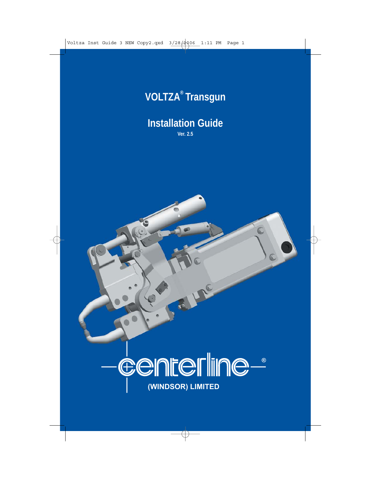

# **Installation Guide**

**Ver. 2.5**

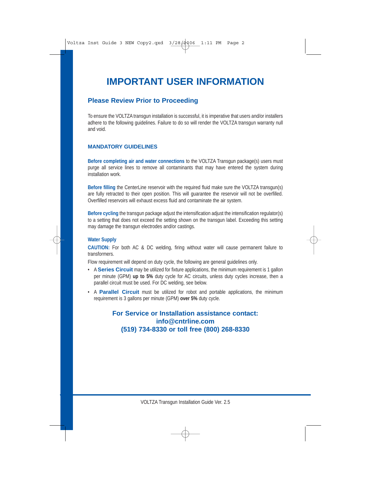# **IMPORTANT USER INFORMATION**

## **Please Review Prior to Proceeding**

To ensure the VOLTZA transgun installation is successful, it is imperative that users and/or installers adhere to the following guidelines. Failure to do so will render the VOLTZA transgun warranty null and void.

#### **MANDATORY GUIDELINES**

**Before completing air and water connections** to the VOLTZA Transgun package(s) users must purge all service lines to remove all contaminants that may have entered the system during installation work.

**Before filling** the CenterLine reservoir with the required fluid make sure the VOLTZA transgun(s) are fully retracted to their open position. This will guarantee the reservoir will not be overfilled. Overfilled reservoirs will exhaust excess fluid and contaminate the air system.

**Before cycling** the transgun package adjust the intensification adjust the intensification regulator(s) to a setting that does not exceed the setting shown on the transgun label. Exceeding this setting may damage the transgun electrodes and/or castings.

#### **Water Supply**

**CAUTION:** For both AC & DC welding, firing without water will cause permanent failure to transformers.

Flow requirement will depend on duty cycle, the following are general guidelines only.

- A **Series Circuit** may be utilized for fixture applications, the minimum requirement is 1 gallon per minute (GPM) **up to 5%** duty cycle for AC circuits, unless duty cycles increase, then a parallel circuit must be used. For DC welding, see below.
- A **Parallel Circuit** must be utilized for robot and portable applications, the minimum requirement is 3 gallons per minute (GPM) **over 5%** duty cycle.

## **For Service or Installation assistance contact: info@cntrline.com (519) 734-8330 or toll free (800) 268-8330**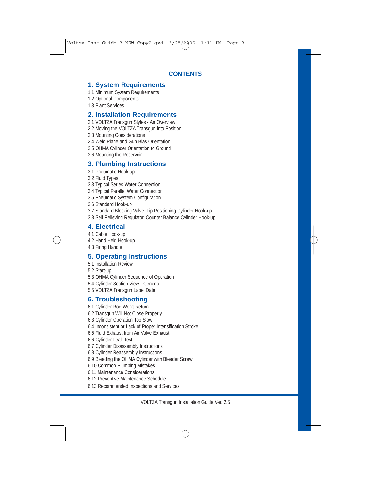## **1. System Requirements**

- 1.1 Minimum System Requirements
- 1.2 Optional Components
- 1.3 Plant Services

## **2. Installation Requirements**

- 2.1 VOLTZA Transgun Styles An Overview
- 2.2 Moving the VOLTZA Transgun into Position
- 2.3 Mounting Considerations
- 2.4 Weld Plane and Gun Bias Orientation
- 2.5 OHMA Cylinder Orientation to Ground
- 2.6 Mounting the Reservoir

## **3. Plumbing Instructions**

- 3.1 Pneumatic Hook-up
- 3.2 Fluid Types
- 3.3 Typical Series Water Connection
- 3.4 Typical Parallel Water Connection
- 3.5 Pneumatic System Configuration
- 3.6 Standard Hook-up
- 3.7 Standard Blocking Valve, Tip Positioning Cylinder Hook-up
- 3.8 Self Relieving Regulator, Counter Balance Cylinder Hook-up

## **4. Electrical**

- 4.1 Cable Hook-up
- 4.2 Hand Held Hook-up
- 4.3 Firing Handle

## **5. Operating Instructions**

- 5.1 Installation Review
- 5.2 Start-up
- 5.3 OHMA Cylinder Sequence of Operation
- 5.4 Cylinder Section View Generic
- 5.5 VOLTZA Transgun Label Data

## **6. Troubleshooting**

- 6.1 Cylinder Rod Won't Return
- 6.2 Transgun Will Not Close Properly
- 6.3 Cylinder Operation Too Slow
- 6.4 Inconsistent or Lack of Proper Intensification Stroke
- 6.5 Fluid Exhaust from Air Valve Exhaust
- 6.6 Cylinder Leak Test
- 6.7 Cylinder Disassembly Instructions
- 6.8 Cylinder Reassembly Instructions
- 6.9 Bleeding the OHMA Cylinder with Bleeder Screw
- 6.10 Common Plumbing Mistakes
- 6.11 Maintenance Considerations
- 6.12 Preventive Maintenance Schedule
- 6.13 Recommended Inspections and Services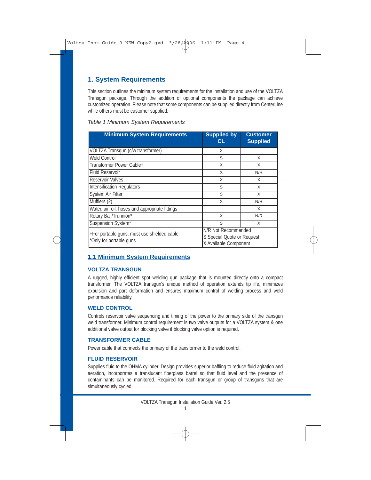## **1. System Requirements**

This section outlines the minimum system requirements for the installation and use of the VOLTZA Transgun package. Through the addition of optional components the package can achieve customized operation. Please note that some components can be supplied directly from CenterLine while others must be customer supplied.

| <b>Minimum System Requirements</b>                                                                                                                   | <b>Supplied by</b><br><b>CL</b> | <b>Customer</b><br><b>Supplied</b> |
|------------------------------------------------------------------------------------------------------------------------------------------------------|---------------------------------|------------------------------------|
| VOLTZA Transgun (c/w transformer)                                                                                                                    | X                               |                                    |
| <b>Weld Control</b>                                                                                                                                  | S                               | X                                  |
| Transformer Power Cable+                                                                                                                             | X                               | X                                  |
| <b>Fluid Reservoir</b>                                                                                                                               | X                               | N/R                                |
| <b>Reservoir Valves</b>                                                                                                                              | X                               | X                                  |
| <b>Intensification Regulators</b>                                                                                                                    | S                               | X                                  |
| System Air Filter                                                                                                                                    | S                               | X                                  |
| Mufflers (2)                                                                                                                                         | X                               | N/R                                |
| Water, air, oil, hoses and appropriate fittings                                                                                                      |                                 | X                                  |
| Rotary Bail/Trunnion*                                                                                                                                | X                               | N/R                                |
| Suspension System*                                                                                                                                   | S                               | X                                  |
| N/R Not Recommended<br>+For portable guns, must use shielded cable<br>S Special Quote or Request<br>*Only for portable guns<br>X Available Component |                                 |                                    |

#### *Table 1 Minimum System Requirements*

#### **1.1 Minimum System Requirements**

#### **VOLTZA TRANSGUN**

A rugged, highly efficient spot welding gun package that is mounted directly onto a compact transformer. The VOLTZA transgun's unique method of operation extends tip life, minimizes expulsion and part deformation and ensures maximum control of welding process and weld performance reliability.

#### **WELD CONTROL**

Controls reservoir valve sequencing and timing of the power to the primary side of the transgun weld transformer. Minimum control requirement is two valve outputs for a VOLTZA system & one additional valve output for blocking valve if blocking valve option is required.

#### **TRANSFORMER CABLE**

Power cable that connects the primary of the transformer to the weld control.

#### **FLUID RESERVOIR**

Supplies fluid to the OHMA cylinder. Design provides superior baffling to reduce fluid agitation and aeration, incorporates a translucent fiberglass barrel so that fluid level and the presence of contaminants can be monitored. Required for each transgun or group of transguns that are simultaneously cycled.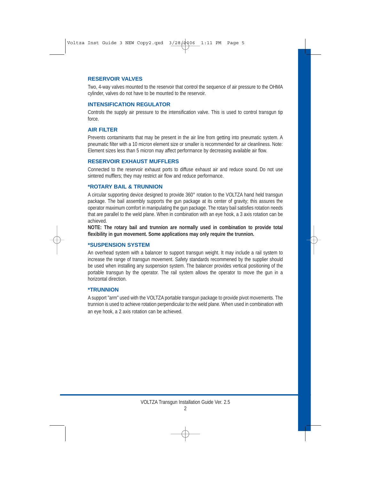#### **RESERVOIR VALVES**

Two, 4-way valves mounted to the reservoir that control the sequence of air pressure to the OHMA cylinder, valves do not have to be mounted to the reservoir.

#### **INTENSIFICATION REGULATOR**

Controls the supply air pressure to the intensification valve. This is used to control transgun tip force.

#### **AIR FILTER**

Prevents contaminants that may be present in the air line from getting into pneumatic system. A pneumatic filter with a 10 micron element size or smaller is recommended for air cleanliness. Note: Element sizes less than 5 micron may affect performance by decreasing available air flow.

#### **RESERVOIR EXHAUST MUFFLERS**

Connected to the reservoir exhaust ports to diffuse exhaust air and reduce sound. Do not use sintered mufflers; they may restrict air flow and reduce performance.

#### **\*ROTARY BAIL & TRUNNION**

A circular supporting device designed to provide 360° rotation to the VOLTZA hand held transgun package. The bail assembly supports the gun package at its center of gravity; this assures the operator maximum comfort in manipulating the gun package. The rotary bail satisfies rotation needs that are parallel to the weld plane. When in combination with an eye hook, a 3 axis rotation can be achieved.

**NOTE: The rotary bail and trunnion are normally used in combination to provide total flexibility in gun movement. Some applications may only require the trunnion.**

#### **\*SUSPENSION SYSTEM**

An overhead system with a balancer to support transgun weight. It may include a rail system to increase the range of transgun movement. Safety standards recommened by the supplier should be used when installing any suspension system. The balancer provides vertical positioning of the portable transgun by the operator. The rail system allows the operator to move the gun in a horizontal direction.

#### **\*TRUNNION**

A support "arm" used with the VOLTZA portable transgun package to provide pivot movements. The trunnion is used to achieve rotation perpendicular to the weld plane. When used in combination with an eye hook, a 2 axis rotation can be achieved.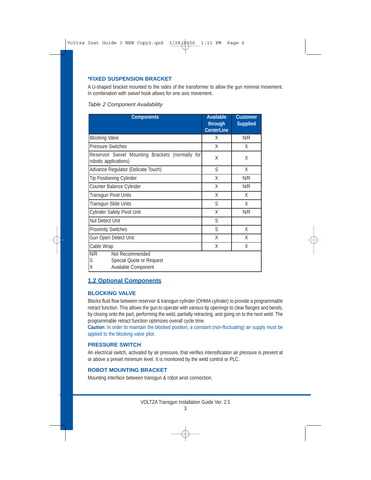#### **\*FIXED SUSPENSION BRACKET**

A U-shaped bracket mounted to the sides of the transformer to allow the gun minimal movement. In combination with swivel hook allows for one axis movement.

#### *Table 2 Component Availability*

| <b>Components</b>                                                                   | <b>Available</b><br>through<br><b>CenterLine</b> | <b>Customer</b><br><b>Supplied</b> |
|-------------------------------------------------------------------------------------|--------------------------------------------------|------------------------------------|
| <b>Blocking Valve</b>                                                               | X                                                | N/R                                |
| <b>Pressure Switches</b>                                                            | X                                                | X                                  |
| Reservoir Swivel Mounting Brackets (normally for<br>robotic applications)           | Χ                                                | X                                  |
| Advance Regulator (Delicate Touch)                                                  | S                                                | X                                  |
| <b>Tip Positioning Cylinder</b>                                                     | X                                                | N/R                                |
| Counter Balance Cylinder                                                            | X                                                | N/R                                |
| Transgun Pivot Units                                                                | X                                                | X                                  |
| Transgun Slide Units                                                                | S                                                | X                                  |
| Cylinder Safety Pivot Unit                                                          | X                                                | N/R                                |
| <b>Nut Detect Unit</b>                                                              | S                                                |                                    |
| <b>Proximity Switches</b>                                                           | S                                                | X                                  |
| Gun Open Detect Unit                                                                | X                                                | X                                  |
| Cable Wrap                                                                          | Χ                                                | X                                  |
| N/R<br>Not Recommended<br>S<br>Special Quote or Request<br>X<br>Available Component |                                                  |                                    |

## **1.2 Optional Components**

#### **BLOCKING VALVE**

Blocks fluid flow between reservoir & transgun cylinder (OHMA cylinder) to provide a programmable retract function. This allows the gun to operate with various tip openings to clear flanges and bends, by closing onto the part, performing the weld, partially retracting, and going on to the next weld. The programmable retract function optimizes overall cycle time.

**Caution**: In order to maintain the blocked position, a constant (non-fluctuating) air supply must be applied to the blocking valve pilot.

#### **PRESSURE SWITCH**

An electrical switch, activated by air pressure, that verifies intensification air pressure is present at or above a preset minimum level. It is monitored by the weld control or PLC.

#### **ROBOT MOUNTING BRACKET**

Mounting interface between transgun & robot wrist connection.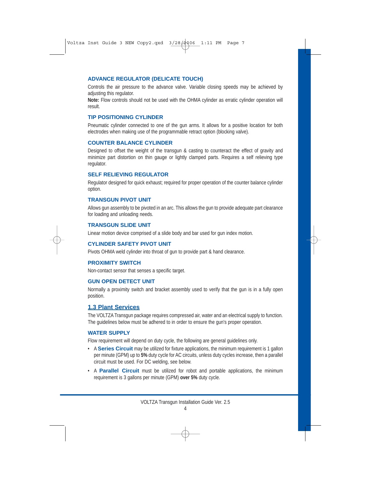#### **ADVANCE REGULATOR (DELICATE TOUCH)**

Controls the air pressure to the advance valve. Variable closing speeds may be achieved by adjusting this regulator.

**Note:** Flow controls should not be used with the OHMA cylinder as erratic cylinder operation will result.

#### **TIP POSITIONING CYLINDER**

Pneumatic cylinder connected to one of the gun arms. It allows for a positive location for both electrodes when making use of the programmable retract option (blocking valve).

#### **COUNTER BALANCE CYLINDER**

Designed to offset the weight of the transgun & casting to counteract the effect of gravity and minimize part distortion on thin gauge or lightly clamped parts. Requires a self relieving type regulator.

#### **SELF RELIEVING REGULATOR**

Regulator designed for quick exhaust; required for proper operation of the counter balance cylinder option.

#### **TRANSGUN PIVOT UNIT**

Allows gun assembly to be pivoted in an arc. This allows the gun to provide adequate part clearance for loading and unloading needs.

#### **TRANSGUN SLIDE UNIT**

Linear motion device comprised of a slide body and bar used for gun index motion.

#### **CYLINDER SAFETY PIVOT UNIT**

Pivots OHMA weld cylinder into throat of gun to provide part & hand clearance.

#### **PROXIMITY SWITCH**

Non-contact sensor that senses a specific target.

#### **GUN OPEN DETECT UNIT**

Normally a proximity switch and bracket assembly used to verify that the gun is in a fully open position.

## **1.3 Plant Services**

The VOLTZA Transgun package requires compressed air, water and an electrical supply to function. The guidelines below must be adhered to in order to ensure the gun's proper operation.

#### **WATER SUPPLY**

Flow requirement will depend on duty cycle, the following are general guidelines only.

- A **Series Circuit** may be utilized for fixture applications, the minimum requirement is 1 gallon per minute (GPM) up to **5%** duty cycle for AC circuits, unless duty cycles increase, then a parallel circuit must be used. For DC welding, see below.
- A **Parallel Circuit** must be utilized for robot and portable applications, the minimum requirement is 3 gallons per minute (GPM) **over 5%** duty cycle.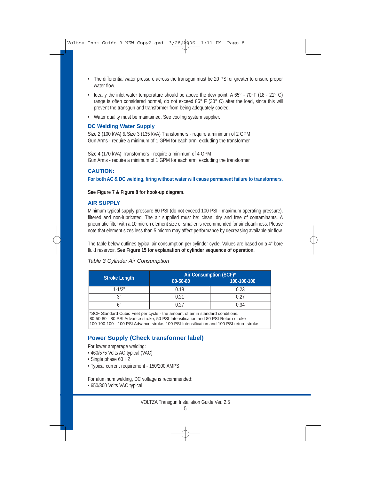- The differential water pressure across the transgun must be 20 PSI or greater to ensure proper water flow.
- Ideally the inlet water temperature should be above the dew point. A  $65^{\circ}$   $70^{\circ}$  F (18 21° C) range is often considered normal, do not exceed 86° F (30° C) after the load, since this will prevent the transgun and transformer from being adequately cooled.
- Water quality must be maintained. See cooling system supplier.

#### **DC Welding Water Supply**

Size 2 (100 kVA) & Size 3 (135 kVA) Transformers - require a minimum of 2 GPM Gun Arms - require a minimum of 1 GPM for each arm, excluding the transformer

Size 4 (170 kVA) Transformers - require a minimum of 4 GPM Gun Arms - require a minimum of 1 GPM for each arm, excluding the transformer

#### **CAUTION:**

**For both AC & DC welding, firing without water will cause permanent failure to transformers.**

**See Figure 7 & Figure 8 for hook-up diagram.**

#### **AIR SUPPLY**

Minimum typical supply pressure 60 PSI (do not exceed 100 PSI - maximum operating pressure), filtered and non-lubricated. The air supplied must be: clean, dry and free of contaminants. A pneumatic filter with a 10 micron element size or smaller is recommended for air cleanliness. Please note that element sizes less than 5 micron may affect performance by decreasing available air flow.

The table below outlines typical air consumption per cylinder cycle. Values are based on a 4" bore fluid reservoir. **See Figure 15 for explanation of cylinder sequence of operation.**

#### *Table 3 Cylinder Air Consumption*

|               | Air Consumption (SCF)* |             |  |  |
|---------------|------------------------|-------------|--|--|
| Stroke Length | 80-50-80               | 100-100-100 |  |  |
| $1 - 1/2"$    | 0.18                   | 0.23        |  |  |
| $\gamma$      |                        | ገ ጋገ        |  |  |
|               |                        | 0.34        |  |  |

\*SCF Standard Cubic Feet per cycle - the amount of air in standard conditions. 80-50-80 - 80 PSI Advance stroke, 50 PSI Intensification and 80 PSI Return stroke 100-100-100 - 100 PSI Advance stroke, 100 PSI Intensification and 100 PSI return stroke

## **Power Supply (Check transformer label)**

For lower amperage welding:

- 460/575 Volts AC typical (VAC)
- Single phase 60 HZ
- Typical current requirement 150/200 AMPS

For aluminum welding, DC voltage is recommended:

• 650/800 Volts VAC typical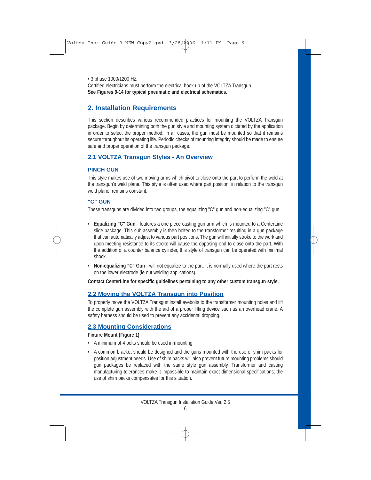• 3 phase 1000/1200 HZ Certified electricians must perform the electrical hook-up of the VOLTZA Transgun. **See Figures 9-14 for typical pneumatic and electrical schematics.**

## **2. Installation Requirements**

This section describes various recommended practices for mounting the VOLTZA Transgun package. Begin by determining both the gun style and mounting system dictated by the application in order to select the proper method. In all cases, the gun must be mounted so that it remains secure throughout its operating life. Periodic checks of mounting integrity should be made to ensure safe and proper operation of the transgun package.

## **2.1 VOLTZA Transgun Styles - An Overview**

#### **PINCH GUN**

This style makes use of two moving arms which pivot to close onto the part to perform the weld at the transgun's weld plane. This style is often used where part position, in relation to the transgun weld plane, remains constant.

## **"C" GUN**

These transguns are divided into two groups, the equalizing "C" gun and non-equalizing "C" gun.

- **Equalizing "C" Gun** features a one piece casting gun arm which is mounted to a CenterLine slide package. This sub-assembly is then bolted to the transformer resulting in a gun package that can automatically adjust to various part positions. The gun will initially stroke to the work and upon meeting resistance to its stroke will cause the opposing end to close onto the part. With the addition of a counter balance cylinder, this style of transgun can be operated with minimal shock.
- **Non-equalizing "C" Gun** will not equalize to the part. It is normally used where the part rests on the lower electrode (ie nut welding applications).

**Contact CenterLine for specific guidelines pertaining to any other custom transgun style.**

## **2.2 Moving the VOLTZA Transgun into Position**

To properly move the VOLTZA Transgun install eyebolts to the transformer mounting holes and lift the complete gun assembly with the aid of a proper lifting device such as an overhead crane. A safety harness should be used to prevent any accidental dropping.

## **2.3 Mounting Considerations**

#### **Fixture Mount (Figure 1)**

- A minimum of 4 bolts should be used in mounting.
- A common bracket should be designed and the guns mounted with the use of shim packs for position adjustment needs. Use of shim packs will also prevent future mounting problems should gun packages be replaced with the same style gun assembly. Transformer and casting manufacturing tolerances make it impossible to maintain exact dimensional specifications; the use of shim packs compensates for this situation.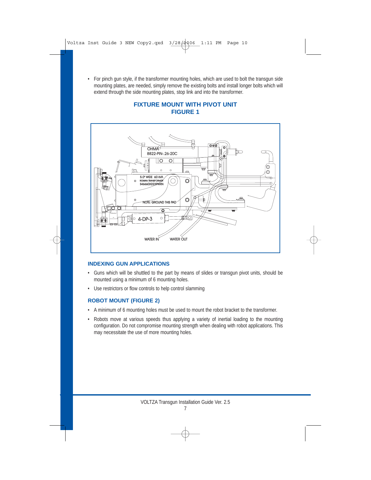• For pinch gun style, if the transformer mounting holes, which are used to bolt the transgun side mounting plates, are needed, simply remove the existing bolts and install longer bolts which will extend through the side mounting plates, stop link and into the transformer.

#### **FIXTURE MOUNT WITH PIVOT UNIT FIGURE 1**



#### **INDEXING GUN APPLICATIONS**

- Guns which will be shuttled to the part by means of slides or transgun pivot units, should be mounted using a minimum of 6 mounting holes.
- Use restrictors or flow controls to help control slamming

## **ROBOT MOUNT (FIGURE 2)**

- A minimum of 6 mounting holes must be used to mount the robot bracket to the transformer.
- Robots move at various speeds thus applying a variety of inertial loading to the mounting configuration. Do not compromise mounting strength when dealing with robot applications. This may necessitate the use of more mounting holes.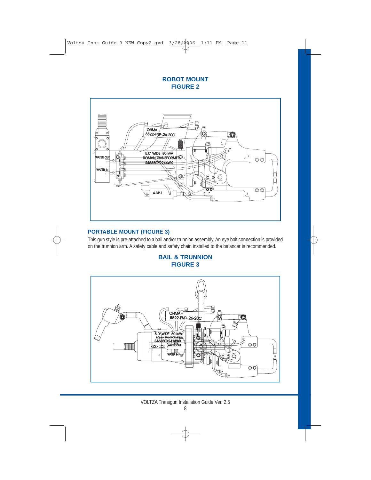#### **ROBOT MOUNT FIGURE 2**



#### **PORTABLE MOUNT (FIGURE 3)**

This gun style is pre-attached to a bail and/or trunnion assembly. An eye bolt connection is provided on the trunnion arm. A safety cable and safety chain installed to the balancer is recommended.

## **BAIL & TRUNNION FIGURE 3**

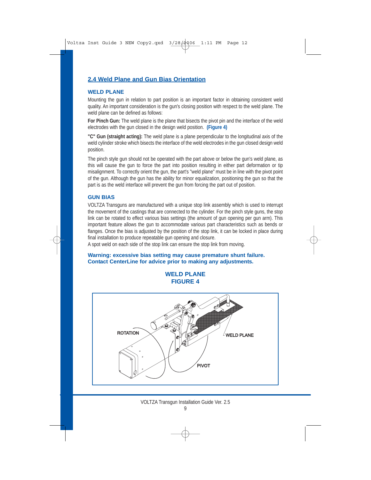## **2.4 Weld Plane and Gun Bias Orientation**

#### **WELD PLANE**

Mounting the gun in relation to part position is an important factor in obtaining consistent weld quality. An important consideration is the gun's closing position with respect to the weld plane. The weld plane can be defined as follows:

**For Pinch Gun:** The weld plane is the plane that bisects the pivot pin and the interface of the weld electrodes with the gun closed in the design weld position. **(Figure 4)**

**"C" Gun (straight acting):** The weld plane is a plane perpendicular to the longitudinal axis of the weld cylinder stroke which bisects the interface of the weld electrodes in the gun closed design weld position.

The pinch style gun should not be operated with the part above or below the gun's weld plane, as this will cause the gun to force the part into position resulting in either part deformation or tip misalignment. To correctly orient the gun, the part's "weld plane" must be in line with the pivot point of the gun. Although the gun has the ability for minor equalization, positioning the gun so that the part is as the weld interface will prevent the gun from forcing the part out of position.

#### **GUN BIAS**

VOLTZA Transguns are manufactured with a unique stop link assembly which is used to interrupt the movement of the castings that are connected to the cylinder. For the pinch style guns, the stop link can be rotated to effect various bias settings (the amount of gun opening per gun arm). This important feature allows the gun to accommodate various part characteristics such as bends or flanges. Once the bias is adjusted by the position of the stop link, it can be locked in place during final installation to produce repeatable gun opening and closure.

A spot weld on each side of the stop link can ensure the stop link from moving.

#### **Warning: excessive bias setting may cause premature shunt failure. Contact CenterLine for advice prior to making any adjustments.**

## **WELD PLANE FIGURE 4**

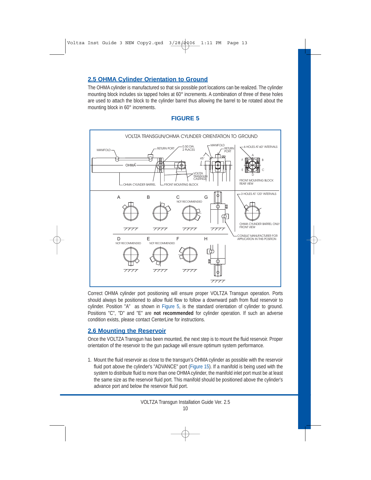## **2.5 OHMA Cylinder Orientation to Ground**

The OHMA cylinder is manufactured so that six possible port locations can be realized. The cylinder mounting block includes six tapped holes at 60° increments. A combination of three of these holes are used to attach the block to the cylinder barrel thus allowing the barrel to be rotated about the mounting block in 60° increments.

## **FIGURE 5**



Correct OHMA cylinder port positioning will ensure proper VOLTZA Transgun operation. Ports should always be positioned to allow fluid flow to follow a downward path from fluid reservoir to cylinder. Position "A" as shown in Figure 5, is the standard orientation of cylinder to ground. Positions "C", "D" and "E" are **not recommended** for cylinder operation. If such an adverse condition exists, please contact CenterLine for instructions.

#### **2.6 Mounting the Reservoir**

Once the VOLTZA Transgun has been mounted, the next step is to mount the fluid reservoir. Proper orientation of the reservoir to the gun package will ensure optimum system performance.

1. Mount the fluid reservoir as close to the transgun's OHMA cylinder as possible with the reservoir fluid port above the cylinder's "ADVANCE" port (Figure 15). If a manifold is being used with the system to distribute fluid to more than one OHMA cylinder, the manifold inlet port must be at least the same size as the reservoir fluid port. This manifold should be positioned above the cylinder's advance port and below the reservoir fluid port.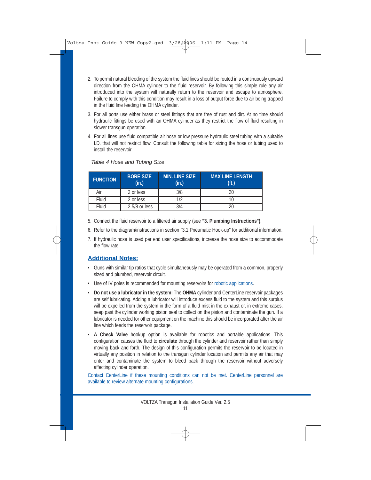- 2. To permit natural bleeding of the system the fluid lines should be routed in a continuously upward direction from the OHMA cylinder to the fluid reservoir. By following this simple rule any air introduced into the system will naturally return to the reservoir and escape to atmosphere. Failure to comply with this condition may result in a loss of output force due to air being trapped in the fluid line feeding the OHMA cylinder.
- 3. For all ports use either brass or steel fittings that are free of rust and dirt. At no time should hydraulic fittings be used with an OHMA cylinder as they restrict the flow of fluid resulting in slower transgun operation.
- 4. For all lines use fluid compatible air hose or low pressure hydraulic steel tubing with a suitable I.D. that will not restrict flow. Consult the following table for sizing the hose or tubing used to install the reservoir.

| <b>FUNCTION</b> | <b>BORE SIZE</b><br>(in.) | <b>MIN. LINE SIZE</b><br>(in.) | <b>MAX LINE LENGTH</b><br>(f <sub>t</sub> ) |
|-----------------|---------------------------|--------------------------------|---------------------------------------------|
| Air             | 2 or less                 | 3/8                            |                                             |
| Fluid           | 2 or less                 | 1/2                            |                                             |
| Fluid           | 2 5/8 or less             | 3/4                            |                                             |

#### *Table 4 Hose and Tubing Size*

- 5. Connect the fluid reservoir to a filtered air supply (see **"3. Plumbing Instructions").**
- 6. Refer to the diagram/instructions in section "3.1 Pneumatic Hook-up" for additional information.
- 7. If hydraulic hose is used per end user specifications, increase the hose size to accommodate the flow rate.

## **Additional Notes:**

- Guns with similar tip ratios that cycle simultaneously may be operated from a common, properly sized and plumbed, reservoir circuit.
- Use of IV poles is recommended for mounting reservoirs for robotic applications.
- **Do not use a lubricator in the system:** The **OHMA** cylinder and CenterLine reservoir packages are self lubricating. Adding a lubricator will introduce excess fluid to the system and this surplus will be expelled from the system in the form of a fluid mist in the exhaust or, in extreme cases, seep past the cylinder working piston seal to collect on the piston and contaminate the gun. If a lubricator is needed for other equipment on the machine this should be incorporated after the air line which feeds the reservoir package.
- **A Check Valve** hookup option is available for robotics and portable applications. This configuration causes the fluid to **circulate** through the cylinder and reservoir rather than simply moving back and forth. The design of this configuration permits the reservoir to be located in virtually any position in relation to the transgun cylinder location and permits any air that may enter and contaminate the system to bleed back through the reservoir without adversely affecting cylinder operation.

Contact CenterLine if these mounting conditions can not be met. CenterLine personnel are available to review alternate mounting configurations.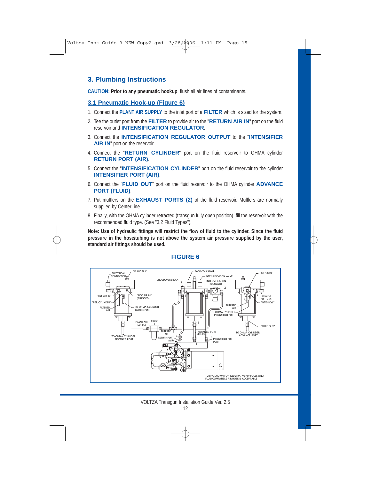## **3. Plumbing Instructions**

**CAUTION: Prior to any pneumatic hookup**, flush all air lines of contaminants.

## **3.1 Pneumatic Hook-up (Figure 6)**

- 1. Connect the **PLANT AIR SUPPLY** to the inlet port of a **FILTER** which is sized for the system.
- 2. Tee the outlet port from the **FILTER** to provide air to the "**RETURN AIR IN**" port on the fluid reservoir and **INTENSIFICATION REGULATOR**.
- 3. Connect the **INTENSIFICATION REGULATOR OUTPUT** to the "**INTENSIFIER AIR IN**" port on the reservoir.
- 4. Connect the "**RETURN CYLINDER**" port on the fluid reservoir to OHMA cylinder **RETURN PORT (AIR)**.
- 5. Connect the "**INTENSIFICATION CYLINDER**" port on the fluid reservoir to the cylinder **INTENSIFIER PORT (AIR)**.
- 6. Connect the "**FLUID OUT**" port on the fluid reservoir to the OHMA cylinder **ADVANCE PORT (FLUID)**.
- 7. Put mufflers on the **EXHAUST PORTS (2)** of the fluid reservoir. Mufflers are normally supplied by CenterLine.
- 8. Finally, with the OHMA cylinder retracted (transgun fully open position), fill the reservoir with the recommended fluid type. (See "3.2 Fluid Types").

**Note: Use of hydraulic fittings will restrict the flow of fluid to the cylinder. Since the fluid pressure in the hose/tubing is not above the system air pressure supplied by the user, standard air fittings should be used.**



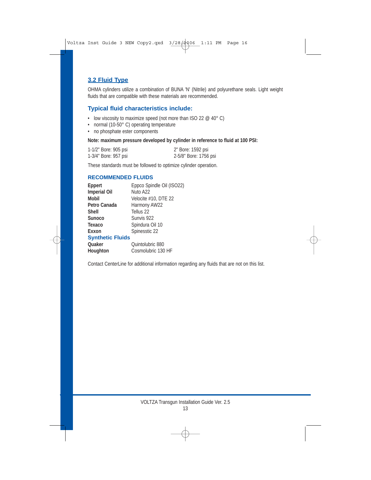## **3.2 Fluid Type**

OHMA cylinders utilize a combination of BUNA 'N' (Nitrile) and polyurethane seals. Light weight fluids that are compatible with these materials are recommended.

## **Typical fluid characteristics include:**

- low viscosity to maximize speed (not more than ISO 22  $@$  40 $^{\circ}$  C)
- normal (10-50°C) operating temperature
- no phosphate ester components

#### **Note: maximum pressure developed by cylinder in reference to fluid at 100 PSI:**

| 1-1/2" Bore: 905 psi | 2" Bore: 1592 psi     |
|----------------------|-----------------------|
| 1-3/4" Bore: 957 psi | 2-5/8" Bore: 1756 psi |

These standards must be followed to optimize cylinder operation.

#### **RECOMMENDED FLUIDS**

| Eppert                  | Eppco Spindle Oil (ISO22) |
|-------------------------|---------------------------|
| <b>Imperial Oil</b>     | Nuto A22                  |
| <b>Mobil</b>            | Velocite #10, DTE 22      |
| Petro Canada            | Harmony AW22              |
| <b>Shell</b>            | Tellus 22                 |
| <b>Sunoco</b>           | Sunvis 922                |
| Texaco                  | Spindura Oil 10           |
| Exxon                   | Spinesstic 22             |
| <b>Synthetic Fluids</b> |                           |
| <b>Quaker</b>           | Quintolubric 880          |
| Houghton                | Cosmolubric 130 HF        |

Contact CenterLine for additional information regarding any fluids that are not on this list.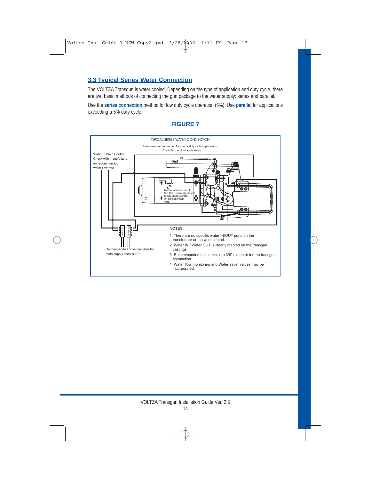## **3.3 Typical Series Water Connection**

The VOLTZA Transgun is water cooled. Depending on the type of application and duty cycle, there are two basic methods of connecting the gun package to the water supply: series and parallel.

Use the **series connection** method for low duty cycle operation (5%). Use **parallel** for applications exceeding a 5% duty cycle.

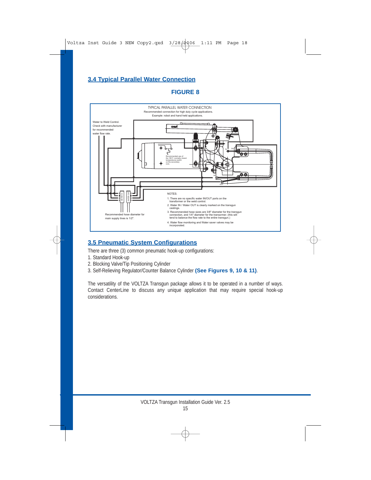## **3.4 Typical Parallel Water Connection**

## **FIGURE 8**



## **3.5 Pneumatic System Configurations**

There are three (3) common pneumatic hook-up configurations:

- 1. Standard Hook-up
- 2. Blocking Valve/Tip Positioning Cylinder
- 3. Self-Relieving Regulator/Counter Balance Cylinder **(See Figures 9, 10 & 11)**.

The versatility of the VOLTZA Transgun package allows it to be operated in a number of ways. Contact CenterLine to discuss any unique application that may require special hook-up considerations.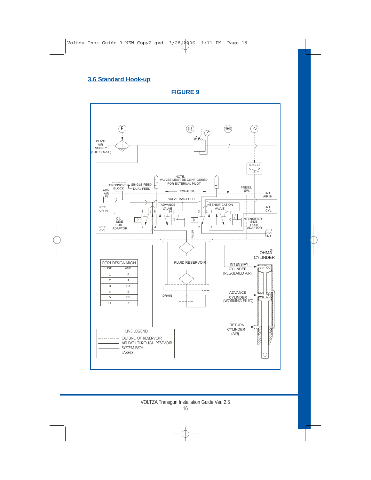## **3.6 Standard Hook-up**

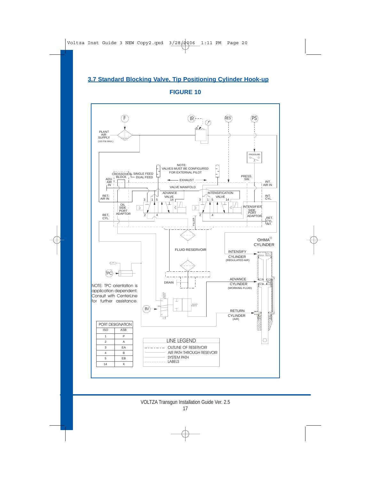## **3.7 Standard Blocking Valve, Tip Positioning Cylinder Hook-up**

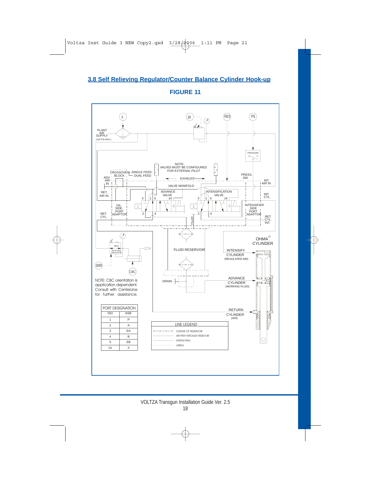## **3.8 Self Relieving Regulator/Counter Balance Cylinder Hook-up**

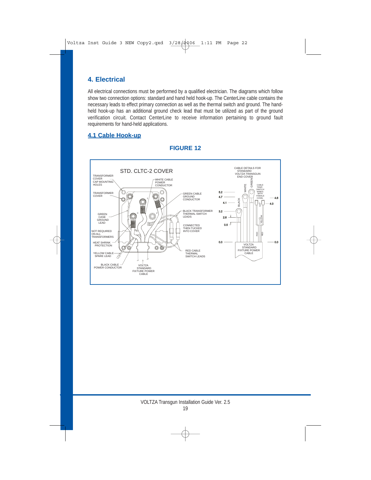## **4. Electrical**

All electrical connections must be performed by a qualified electrician. The diagrams which follow show two connection options: standard and hand held hook-up. The CenterLine cable contains the necessary leads to effect primary connection as well as the thermal switch and ground. The handheld hook-up has an additional ground check lead that must be utilized as part of the ground verification circuit. Contact CenterLine to receive information pertaining to ground fault requirements for hand-held applications.

## **4.1 Cable Hook-up**

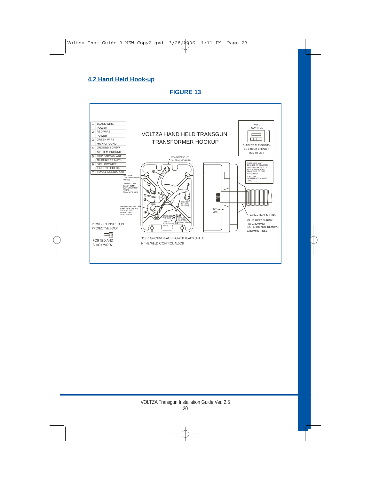## **4.2 Hand Held Hook-up**

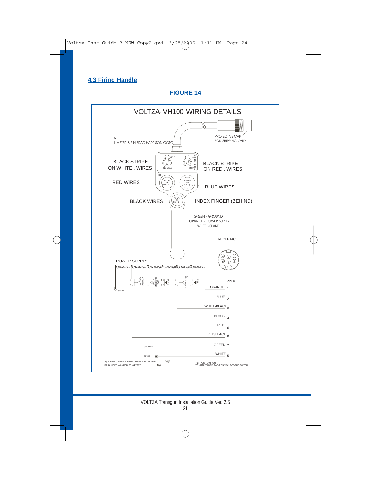## **4.3 Firing Handle**

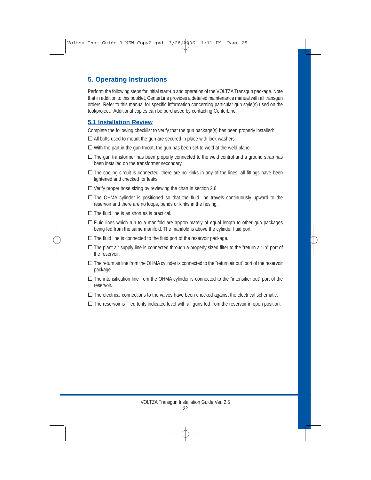## **5. Operating Instructions**

Perform the following steps for initial start-up and operation of the VOLTZA Transgun package. Note that in addition to this booklet, CenterLine provides a detailed maintenance manual with all transgun orders. Refer to this manual for specific information concerning particular gun style(s) used on the tool/project. Additional copies can be purchased by contacting CenterLine.

## **5.1 Installation Review**

Complete the following checklist to verify that the gun package(s) has been properly installed:

- $\Box$  All bolts used to mount the gun are secured in place with lock washers.
- $\Box$  With the part in the gun throat, the gun has been set to weld at the weld plane.
- $\Box$  The gun transformer has been properly connected to the weld control and a ground strap has been installed on the transformer secondary.
- $\Box$  The cooling circuit is connected, there are no kinks in any of the lines, all fittings have been tightened and checked for leaks.
- $\Box$  Verify proper hose sizing by reviewing the chart in section 2.6.
- $\Box$  The OHMA cylinder is positioned so that the fluid line travels continuously upward to the reservoir and there are no loops, bends or kinks in the hosing.
- $\Box$  The fluid line is as short as is practical.
- $\Box$  Fluid lines which run to a manifold are approximately of equal length to other gun packages being fed from the same manifold. The manifold is above the cylinder fluid port.
- $\Box$  The fluid line is connected to the fluid port of the reservoir package.
- $\Box$  The plant air supply line is connected through a properly sized filter to the "return air in" port of the reservoir.
- $\Box$  The return air line from the OHMA cylinder is connected to the "return air out" port of the reservoir package.
- $\Box$  The intensification line from the OHMA cylinder is connected to the "intensifier out" port of the reservoir.
- $\Box$  The electrical connections to the valves have been checked against the electrical schematic.
- $\Box$  The reservoir is filled to its indicated level with all guns fed from the reservoir in open position.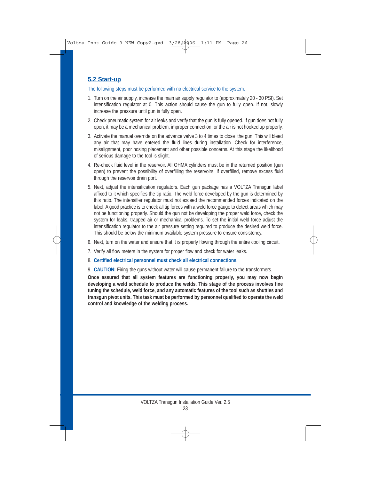## **5.2 Start-up**

The following steps must be performed with no electrical service to the system.

- 1. Turn on the air supply, increase the main air supply regulator to (approximately 20 30 PSI). Set intensification regulator at 0. This action should cause the gun to fully open. If not, slowly increase the pressure until gun is fully open.
- 2. Check pneumatic system for air leaks and verify that the gun is fully opened. If gun does not fully open, it may be a mechanical problem, improper connection, or the air is not hooked up properly.
- 3. Activate the manual override on the advance valve 3 to 4 times to close the gun. This will bleed any air that may have entered the fluid lines during installation. Check for interference, misalignment, poor hosing placement and other possible concerns. At this stage the likelihood of serious damage to the tool is slight.
- 4. Re-check fluid level in the reservoir. All OHMA cylinders must be in the returned position (gun open) to prevent the possibility of overfilling the reservoirs. If overfilled, remove excess fluid through the reservoir drain port.
- 5. Next, adjust the intensification regulators. Each gun package has a VOLTZA Transgun label affixed to it which specifies the tip ratio. The weld force developed by the gun is determined by this ratio. The intensifier regulator must not exceed the recommended forces indicated on the label. A good practice is to check all tip forces with a weld force gauge to detect areas which may not be functioning properly. Should the gun not be developing the proper weld force, check the system for leaks, trapped air or mechanical problems. To set the initial weld force adjust the intensification regulator to the air pressure setting required to produce the desired weld force. This should be below the minimum available system pressure to ensure consistency.
- 6. Next, turn on the water and ensure that it is properly flowing through the entire cooling circuit.
- 7. Verify all flow meters in the system for proper flow and check for water leaks.
- 8. **Certified electrical personnel must check all electrical connections.**
- 9. **CAUTION:** Firing the guns without water will cause permanent failure to the transformers.

**Once assured that all system features are functioning properly, you may now begin developing a weld schedule to produce the welds. This stage of the process involves fine tuning the schedule, weld force, and any automatic features of the tool such as shuttles and transgun pivot units. This task must be performed by personnel qualified to operate the weld control and knowledge of the welding process.**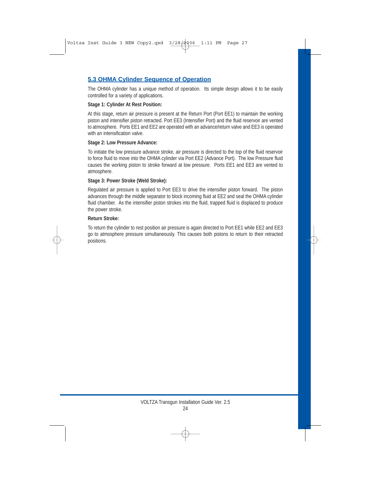## **5.3 OHMA Cylinder Sequence of Operation**

The OHMA cylinder has a unique method of operation. Its simple design allows it to be easily controlled for a variety of applications.

#### **Stage 1: Cylinder At Rest Position:**

At this stage, return air pressure is present at the Return Port (Port EE1) to maintain the working piston and intensifier piston retracted. Port EE3 (Intensifier Port) and the fluid reservoir are vented to atmosphere. Ports EE1 and EE2 are operated with an advance/return valve and EE3 is operated with an intensification valve.

#### **Stage 2: Low Pressure Advance:**

To initiate the low pressure advance stroke, air pressure is directed to the top of the fluid reservoir to force fluid to move into the OHMA cylinder via Port EE2 (Advance Port). The low Pressure fluid causes the working piston to stroke forward at low pressure. Ports EE1 and EE3 are vented to atmosphere.

#### **Stage 3: Power Stroke (Weld Stroke):**

Regulated air pressure is applied to Port EE3 to drive the intensifier piston forward. The piston advances through the middle separator to block incoming fluid at EE2 and seal the OHMA cylinder fluid chamber. As the intensifier piston strokes into the fluid, trapped fluid is displaced to produce the power stroke.

#### **Return Stroke:**

To return the cylinder to rest position air pressure is again directed to Port EE1 while EE2 and EE3 go to atmosphere pressure simultaneously. This causes both pistons to return to their retracted positions.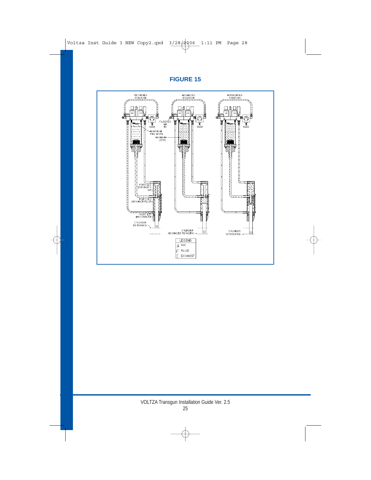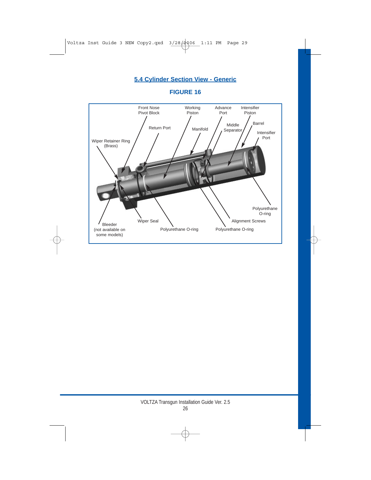## **5.4 Cylinder Section View - Generic**

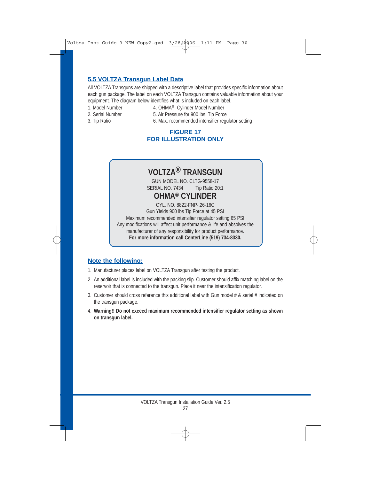## **5.5 VOLTZA Transgun Label Data**

All VOLTZA Transguns are shipped with a descriptive label that provides specific information about each gun package. The label on each VOLTZA Transgun contains valuable information about your equipment. The diagram below identifies what is included on each label.

- 
- 1. Model Number 4. OHMA<sup>®</sup> Cylinder Model Number
	-
- 2. Serial Number 5. Air Pressure for 900 lbs. Tip Force
- 
- 3. Tip Ratio 6. Max. recommended intensifier regulator setting

## **FIGURE 17 FOR ILLUSTRATION ONLY**

# **VOLTZA® TRANSGUN**

GUN MODEL NO. CLTG-9558-17 SERIAL NO. 7434 Tip Ratio 20:1

# **OHMA® CYLINDER**

CYL. NO. 8822-FNP-.26-16C Gun Yields 900 lbs Tip Force at 45 PSI Maximum recommended intensifier regulator setting 65 PSI Any modifications will affect unit performance & life and absolves the manufacturer of any responsibility for product performance. **For more information call CenterLine (519) 734-8330.**

## **Note the following:**

- 1. Manufacturer places label on VOLTZA Transgun after testing the product.
- 2. An additional label is included with the packing slip. Customer should affix matching label on the reservoir that is connected to the transgun. Place it near the intensification regulator.
- 3. Customer should cross reference this additional label with Gun model # & serial # indicated on the transgun package.
- 4. **Warning!! Do not exceed maximum recommended intensifier regulator setting as shown on transgun label.**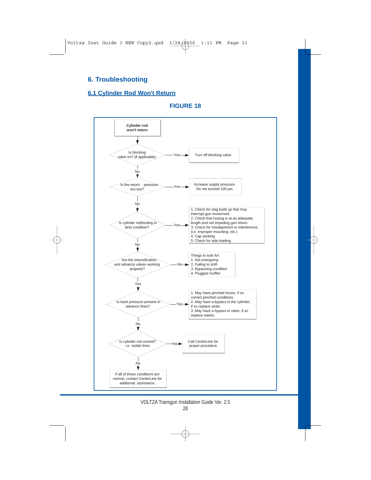## **6. Troubleshooting**

## **6.1 Cylinder Rod Won't Return**

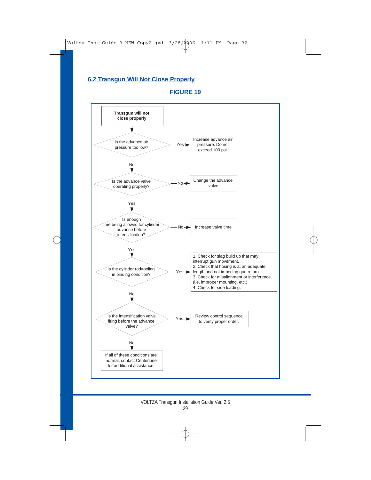## **6.2 Transgun Will Not Close Properly**

![](_page_31_Figure_2.jpeg)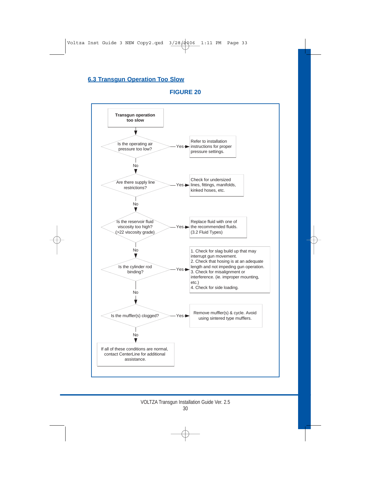## **6.3 Transgun Operation Too Slow**

![](_page_32_Figure_2.jpeg)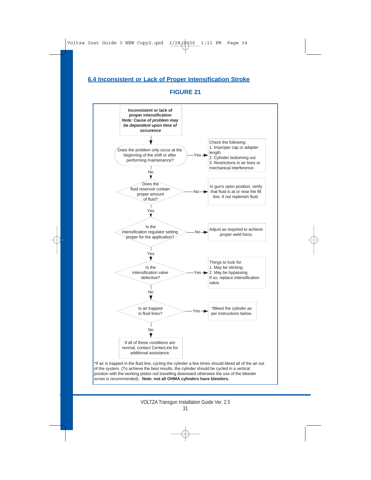## **6.4 Inconsistent or Lack of Proper Intensification Stroke**

![](_page_33_Figure_2.jpeg)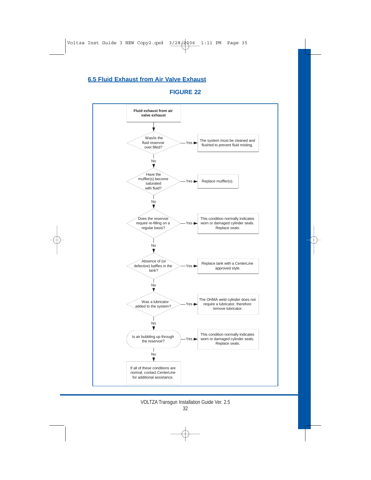## **6.5 Fluid Exhaust from Air Valve Exhaust**

![](_page_34_Figure_1.jpeg)

![](_page_34_Figure_2.jpeg)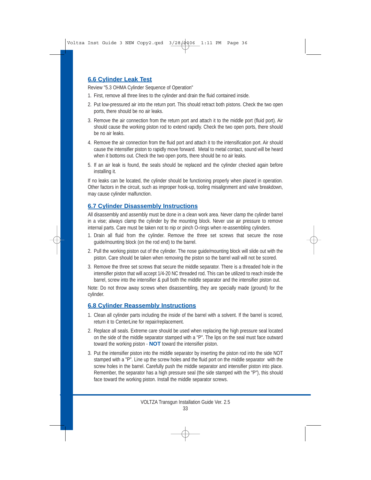## **6.6 Cylinder Leak Test**

Review "5.3 OHMA Cylinder Sequence of Operation"

- 1. First, remove all three lines to the cylinder and drain the fluid contained inside.
- 2. Put low-pressured air into the return port. This should retract both pistons. Check the two open ports, there should be no air leaks.
- 3. Remove the air connection from the return port and attach it to the middle port (fluid port). Air should cause the working piston rod to extend rapidly. Check the two open ports, there should be no air leaks.
- 4. Remove the air connection from the fluid port and attach it to the intensification port. Air should cause the intensifier piston to rapidly move forward. Metal to metal contact, sound will be heard when it bottoms out. Check the two open ports, there should be no air leaks.
- 5. If an air leak is found, the seals should be replaced and the cylinder checked again before installing it.

If no leaks can be located, the cylinder should be functioning properly when placed in operation. Other factors in the circuit, such as improper hook-up, tooling misalignment and valve breakdown, may cause cylinder malfunction.

## **6.7 Cylinder Disassembly Instructions**

All disassembly and assembly must be done in a clean work area. Never clamp the cylinder barrel in a vise; always clamp the cylinder by the mounting block. Never use air pressure to remove internal parts. Care must be taken not to nip or pinch O-rings when re-assembling cylinders.

- 1. Drain all fluid from the cylinder. Remove the three set screws that secure the nose guide/mounting block (on the rod end) to the barrel.
- 2. Pull the working piston out of the cylinder. The nose guide/mounting block will slide out with the piston. Care should be taken when removing the piston so the barrel wall will not be scored.
- 3. Remove the three set screws that secure the middle separator. There is a threaded hole in the intensifier piston that will accept 1/4-20 NC threaded rod. This can be utilized to reach inside the barrel, screw into the intensifier & pull both the middle separator and the intensifier piston out.

Note: Do not throw away screws when disassembling, they are specially made (ground) for the cylinder.

## **6.8 Cylinder Reassembly Instructions**

- 1. Clean all cylinder parts including the inside of the barrel with a solvent. If the barrel is scored, return it to CenterLine for repair/replacement.
- 2. Replace all seals. Extreme care should be used when replacing the high pressure seal located on the side of the middle separator stamped with a "P". The lips on the seal must face outward toward the working piston - **NOT** toward the intensifier piston.
- 3. Put the intensifier piston into the middle separator by inserting the piston rod into the side NOT stamped with a "P". Line up the screw holes and the fluid port on the middle separator with the screw holes in the barrel. Carefully push the middle separator and intensifier piston into place. Remember, the separator has a high pressure seal (the side stamped with the "P"), this should face toward the working piston. Install the middle separator screws.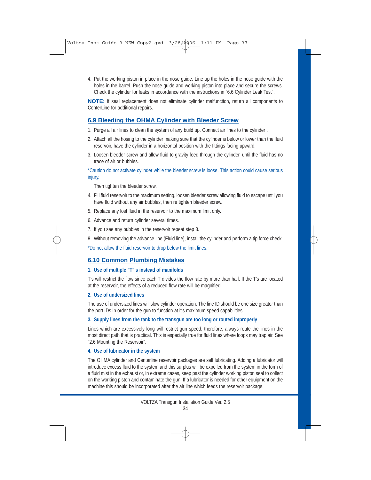4. Put the working piston in place in the nose guide. Line up the holes in the nose guide with the holes in the barrel. Push the nose guide and working piston into place and secure the screws. Check the cylinder for leaks in accordance with the instructions in "6.6 Cylinder Leak Test".

**NOTE:** If seal replacement does not eliminate cylinder malfunction, return all components to CenterLine for additional repairs.

## **6.9 Bleeding the OHMA Cylinder with Bleeder Screw**

- 1. Purge all air lines to clean the system of any build up. Connect air lines to the cylinder .
- 2. Attach all the hosing to the cylinder making sure that the cylinder is below or lower than the fluid reservoir, have the cylinder in a horizontal position with the fittings facing upward.
- 3. Loosen bleeder screw and allow fluid to gravity feed through the cylinder, until the fluid has no trace of air or bubbles.

#### \*Caution do not activate cylinder while the bleeder screw is loose. This action could cause serious injury.

Then tighten the bleeder screw.

- 4. Fill fluid reservoir to the maximum setting, loosen bleeder screw allowing fluid to escape until you have fluid without any air bubbles, then re tighten bleeder screw.
- 5. Replace any lost fluid in the reservoir to the maximum limit only.
- 6. Advance and return cylinder several times.
- 7. If you see any bubbles in the reservoir repeat step 3.
- 8. Without removing the advance line (Fluid line), install the cylinder and perform a tip force check.

\*Do not allow the fluid reservoir to drop below the limit lines.

## **6.10 Common Plumbing Mistakes**

#### **1. Use of multiple "T"'s instead of manifolds**

T's will restrict the flow since each T divides the flow rate by more than half. If the T's are located at the reservoir, the effects of a reduced flow rate will be magnified.

#### **2. Use of undersized lines**

The use of undersized lines will slow cylinder operation. The line ID should be one size greater than the port IDs in order for the gun to function at it's maximum speed capabilities.

#### **3. Supply lines from the tank to the transgun are too long or routed improperly**

Lines which are excessively long will restrict gun speed, therefore, always route the lines in the most direct path that is practical. This is especially true for fluid lines where loops may trap air. See "2.6 Mounting the Reservoir".

#### **4. Use of lubricator in the system**

The OHMA cylinder and Centerline reservoir packages are self lubricating. Adding a lubricator will introduce excess fluid to the system and this surplus will be expelled from the system in the form of a fluid mist in the exhaust or, in extreme cases, seep past the cylinder working piston seal to collect on the working piston and contaminate the gun. If a lubricator is needed for other equipment on the machine this should be incorporated after the air line which feeds the reservoir package.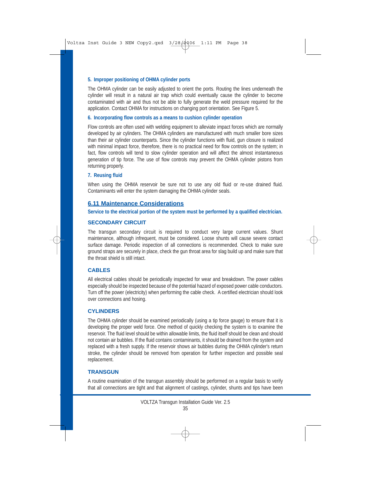#### **5. Improper positioning of OHMA cylinder ports**

The OHMA cylinder can be easily adjusted to orient the ports. Routing the lines underneath the cylinder will result in a natural air trap which could eventually cause the cylinder to become contaminated with air and thus not be able to fully generate the weld pressure required for the application. Contact OHMA for instructions on changing port orientation. See Figure 5.

#### **6. Incorporating flow controls as a means to cushion cylinder operation**

Flow controls are often used with welding equipment to alleviate impact forces which are normally developed by air cylinders. The OHMA cylinders are manufactured with much smaller bore sizes than their air cylinder counterparts. Since the cylinder functions with fluid, gun closure is realized with minimal impact force, therefore, there is no practical need for flow controls on the system; in fact, flow controls will tend to slow cylinder operation and will affect the almost instantaneous generation of tip force. The use of flow controls may prevent the OHMA cylinder pistons from returning properly.

#### **7. Reusing fluid**

When using the OHMA reservoir be sure not to use any old fluid or re-use drained fluid. Contaminants will enter the system damaging the OHMA cylinder seals.

#### **6.11 Maintenance Considerations**

**Service to the electrical portion of the system must be performed by a qualified electrician.**

#### **SECONDARY CIRCUIT**

The transgun secondary circuit is required to conduct very large current values. Shunt maintenance, although infrequent, must be considered. Loose shunts will cause severe contact surface damage. Periodic inspection of all connections is recommended. Check to make sure ground straps are securely in place, check the gun throat area for slag build up and make sure that the throat shield is still intact.

#### **CABLES**

All electrical cables should be periodically inspected for wear and breakdown. The power cables especially should be inspected because of the potential hazard of exposed power cable conductors. Turn off the power (electricity) when performing the cable check. A certified electrician should look over connections and hosing.

#### **CYLINDERS**

The OHMA cylinder should be examined periodically (using a tip force gauge) to ensure that it is developing the proper weld force. One method of quickly checking the system is to examine the reservoir. The fluid level should be within allowable limits, the fluid itself should be clean and should not contain air bubbles. If the fluid contains contaminants, it should be drained from the system and replaced with a fresh supply. If the reservoir shows air bubbles during the OHMA cylinder's return stroke, the cylinder should be removed from operation for further inspection and possible seal replacement.

#### **TRANSGUN**

A routine examination of the transgun assembly should be performed on a regular basis to verify that all connections are tight and that alignment of castings, cylinder, shunts and tips have been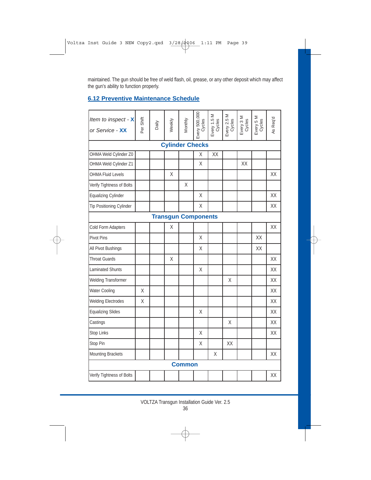maintained. The gun should be free of weld flash, oil, grease, or any other deposit which may affect the gun's ability to function properly.

## **6.12 Preventive Maintenance Schedule**

| Item to inspect - X<br>or Service - XX | Per Shift | Daily | Weekly | Monthly | Every 500,000              | Every 1.5 M<br>Cycles | Every 2.5 M<br>Cycles | Every 3 M<br>Cycles | Every 5 M<br>Cycles | As Req'd |
|----------------------------------------|-----------|-------|--------|---------|----------------------------|-----------------------|-----------------------|---------------------|---------------------|----------|
|                                        |           |       |        |         | <b>Cylinder Checks</b>     |                       |                       |                     |                     |          |
| OHMA Weld Cylinder Z0                  |           |       |        |         | Χ                          | XX                    |                       |                     |                     |          |
| OHMA Weld Cylinder Z1                  |           |       |        |         | X                          |                       |                       | XX                  |                     |          |
| <b>OHMA Fluid Levels</b>               |           |       | X      |         |                            |                       |                       |                     |                     | XX       |
| Verify Tightness of Bolts              |           |       |        | Χ       |                            |                       |                       |                     |                     |          |
| <b>Equalizing Cylinder</b>             |           |       |        |         | Χ                          |                       |                       |                     |                     | XX       |
| <b>Tip Positioning Cylinder</b>        |           |       |        |         | χ                          |                       |                       |                     |                     | XX       |
|                                        |           |       |        |         | <b>Transgun Components</b> |                       |                       |                     |                     |          |
| Cold Form Adapters                     |           |       | Χ      |         |                            |                       |                       |                     |                     | XX       |
| <b>Pivot Pins</b>                      |           |       |        |         | Χ                          |                       |                       |                     | XX                  |          |
| All Pivot Bushings                     |           |       |        |         | X                          |                       |                       |                     | XX                  |          |
| <b>Throat Guards</b>                   |           |       | X      |         |                            |                       |                       |                     |                     | XX       |
| Laminated Shunts                       |           |       |        |         | X                          |                       |                       |                     |                     | XX       |
| Welding Transformer                    |           |       |        |         |                            |                       | X                     |                     |                     | XX       |
| Water Cooling                          | X         |       |        |         |                            |                       |                       |                     |                     | XX       |
| <b>Welding Electrodes</b>              | X         |       |        |         |                            |                       |                       |                     |                     | XX       |
| <b>Equalizing Slides</b>               |           |       |        |         | X                          |                       |                       |                     |                     | XX       |
| Castings                               |           |       |        |         |                            |                       | X                     |                     |                     | XX       |
| Stop Links                             |           |       |        |         | X                          |                       |                       |                     |                     | XX       |
| Stop Pin                               |           |       |        |         | Χ                          |                       | XX                    |                     |                     |          |
| Mounting Brackets                      |           |       |        |         |                            | Χ                     |                       |                     |                     | XX       |
| <b>Common</b>                          |           |       |        |         |                            |                       |                       |                     |                     |          |
| Verify Tightness of Bolts              |           |       |        |         |                            |                       |                       |                     |                     | XX       |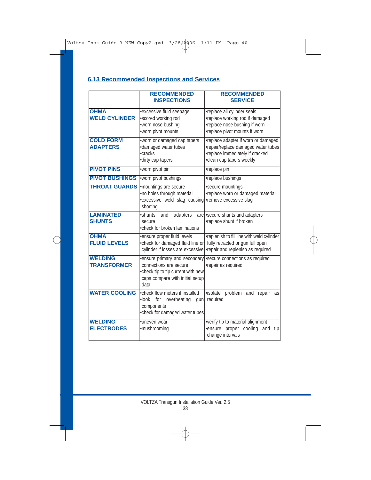## **6.13 Recommended Inspections and Services**

|                                      | <b>RECOMMENDED</b><br><b>INSPECTIONS</b>                                                                                                 | <b>RECOMMENDED</b><br><b>SERVICE</b>                                                                                                      |
|--------------------------------------|------------------------------------------------------------------------------------------------------------------------------------------|-------------------------------------------------------------------------------------------------------------------------------------------|
| <b>OHMA</b><br><b>WELD CYLINDER</b>  | ·excessive fluid seepage<br>•scored working rod<br>•worn nose bushing<br>•worn pivot mounts                                              | •replace all cylinder seals<br>•replace working rod if damaged<br>•replace nose bushing if worn<br>•replace pivot mounts if worn          |
| <b>COLD FORM</b><br><b>ADAPTERS</b>  | •worn or damaged cap tapers<br>·damaged water tubes<br>•cracks<br>·dirty cap tapers                                                      | •replace adapter if worn or damaged<br>•repair/replace damaged water tubes<br>•replace immediately if cracked<br>•clean cap tapers weekly |
| <b>PIVOT PINS</b>                    | •worn pivot pin                                                                                                                          | •replace pin                                                                                                                              |
| <b>PIVOT BUSHINGS</b>                | •worn pivot bushings                                                                                                                     | •replace bushings                                                                                                                         |
| <b>THROAT GUARDS</b>                 | -mountings are secure<br>•no holes through material<br>•excessive weld slag causing • remove excessive slag<br>shorting                  | ·secure mountings<br>•replace worn or damaged material                                                                                    |
| <b>LAMINATED</b><br><b>SHUNTS</b>    | ·shunts<br>adapters<br>and<br>secure<br>• check for broken laminations                                                                   | are secure shunts and adapters<br>•replace shunt if broken                                                                                |
| <b>OHMA</b><br><b>FLUID LEVELS</b>   | ·ensure proper fluid levels<br>•check for damaged fluid line or<br>cylinder if losses are excessive                                      | •replenish to fill line with weld cylinder<br>fully retracted or gun full open<br>•repair and replenish as required                       |
| <b>WELDING</b><br><b>TRANSFORMER</b> | ·ensure primary and secondary<br>connections are secure<br>•check tip to tip current with new<br>caps compare with initial setup<br>data | ·secure connections as required<br>•repair as required                                                                                    |
| <b>WATER COOLING</b>                 | •check flow meters if installed<br>.look for overheating<br>qun<br>components<br>•check for damaged water tubes                          | ·isolate problem and repair<br>as<br>required                                                                                             |
| <b>WELDING</b><br><b>ELECTRODES</b>  | ·uneven wear<br>·mushrooming                                                                                                             | •verify tip to material alignment<br>ensure proper cooling<br>and<br>tip<br>change intervals                                              |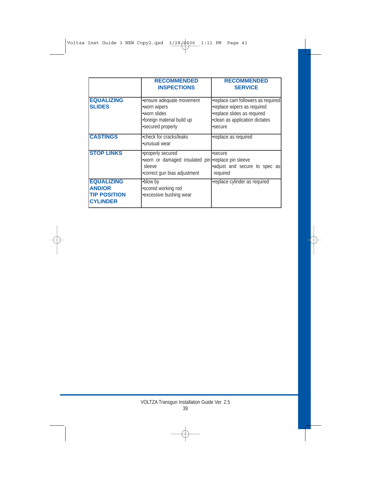|                                                                              | <b>RECOMMENDED</b><br><b>INSPECTIONS</b>                                                                          | <b>RECOMMENDED</b><br><b>SERVICE</b>                                                                                                          |
|------------------------------------------------------------------------------|-------------------------------------------------------------------------------------------------------------------|-----------------------------------------------------------------------------------------------------------------------------------------------|
| <b>EQUALIZING</b><br><b>SLIDES</b>                                           | •ensure adequate movement<br>•worn wipers<br>•worn slides<br>•foreign material build up<br>·secured properly      | •replace cam followers as required<br>•replace wipers as required<br>•replace slides as required<br>•clean as application dictates<br>·secure |
| <b>CASTINGS</b>                                                              | •check for cracks/leaks<br>•unusual wear                                                                          | •replace as required                                                                                                                          |
| <b>STOP LINKS</b>                                                            | •properly secured<br>.worn or damaged insulated pin -replace pin sleeve<br>sleeve<br>•correct gun bias adjustment | •secure<br>adjust and secure to spec as<br>required                                                                                           |
| <b>EQUALIZING</b><br><b>AND/OR</b><br><b>TIP POSITION</b><br><b>CYLINDER</b> | •blow by<br>·scored working rod<br>•excessive bushing wear                                                        | •replace cylinder as required                                                                                                                 |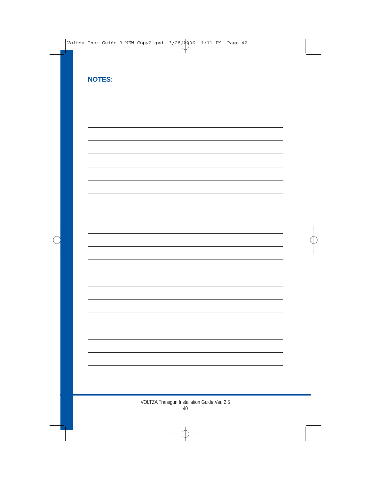| <b>NOTES:</b> |  |
|---------------|--|
|               |  |
|               |  |
|               |  |
|               |  |
|               |  |
|               |  |
|               |  |
|               |  |
|               |  |
|               |  |
|               |  |
|               |  |
|               |  |
|               |  |
|               |  |
|               |  |
|               |  |
|               |  |
|               |  |
|               |  |
|               |  |
|               |  |
|               |  |
|               |  |
|               |  |
|               |  |
|               |  |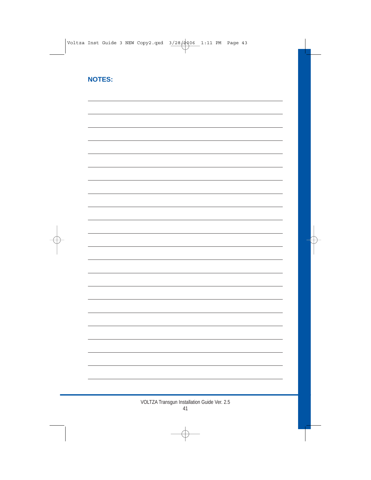## **NOTES:**